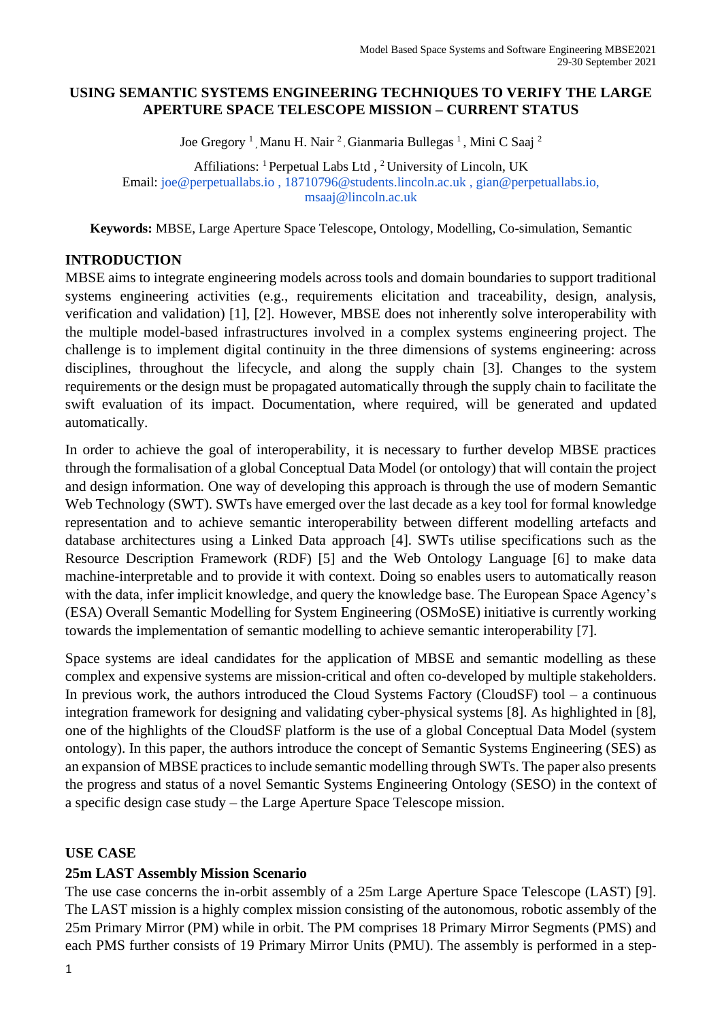#### **USING SEMANTIC SYSTEMS ENGINEERING TECHNIQUES TO VERIFY THE LARGE APERTURE SPACE TELESCOPE MISSION – CURRENT STATUS**

Joe Gregory<sup>1</sup>, Manu H. Nair<sup>2</sup>, Gianmaria Bullegas<sup>1</sup>, Mini C Saaj<sup>2</sup>

Affiliations: <sup>1</sup> Perpetual Labs Ltd , <sup>2</sup> University of Lincoln, UK Email: joe@perpetuallabs.io , 18710796@students.lincoln.ac.uk , gian@perpetuallabs.io, msaaj@lincoln.ac.uk

**Keywords:** MBSE, Large Aperture Space Telescope, Ontology, Modelling, Co-simulation, Semantic

## **INTRODUCTION**

MBSE aims to integrate engineering models across tools and domain boundaries to support traditional systems engineering activities (e.g., requirements elicitation and traceability, design, analysis, verification and validation) [1], [2]. However, MBSE does not inherently solve interoperability with the multiple model-based infrastructures involved in a complex systems engineering project. The challenge is to implement digital continuity in the three dimensions of systems engineering: across disciplines, throughout the lifecycle, and along the supply chain [3]. Changes to the system requirements or the design must be propagated automatically through the supply chain to facilitate the swift evaluation of its impact. Documentation, where required, will be generated and updated automatically.

In order to achieve the goal of interoperability, it is necessary to further develop MBSE practices through the formalisation of a global Conceptual Data Model (or ontology) that will contain the project and design information. One way of developing this approach is through the use of modern Semantic Web Technology (SWT). SWTs have emerged over the last decade as a key tool for formal knowledge representation and to achieve semantic interoperability between different modelling artefacts and database architectures using a Linked Data approach [4]. SWTs utilise specifications such as the Resource Description Framework (RDF) [5] and the Web Ontology Language [6] to make data machine-interpretable and to provide it with context. Doing so enables users to automatically reason with the data, infer implicit knowledge, and query the knowledge base. The European Space Agency's (ESA) Overall Semantic Modelling for System Engineering (OSMoSE) initiative is currently working towards the implementation of semantic modelling to achieve semantic interoperability [7].

Space systems are ideal candidates for the application of MBSE and semantic modelling as these complex and expensive systems are mission-critical and often co-developed by multiple stakeholders. In previous work, the authors introduced the Cloud Systems Factory (CloudSF) tool – a continuous integration framework for designing and validating cyber-physical systems [8]. As highlighted in [8], one of the highlights of the CloudSF platform is the use of a global Conceptual Data Model (system ontology). In this paper, the authors introduce the concept of Semantic Systems Engineering (SES) as an expansion of MBSE practices to include semantic modelling through SWTs. The paper also presents the progress and status of a novel Semantic Systems Engineering Ontology (SESO) in the context of a specific design case study – the Large Aperture Space Telescope mission.

## **USE CASE**

## **25m LAST Assembly Mission Scenario**

The use case concerns the in-orbit assembly of a 25m Large Aperture Space Telescope (LAST) [9]. The LAST mission is a highly complex mission consisting of the autonomous, robotic assembly of the 25m Primary Mirror (PM) while in orbit. The PM comprises 18 Primary Mirror Segments (PMS) and each PMS further consists of 19 Primary Mirror Units (PMU). The assembly is performed in a step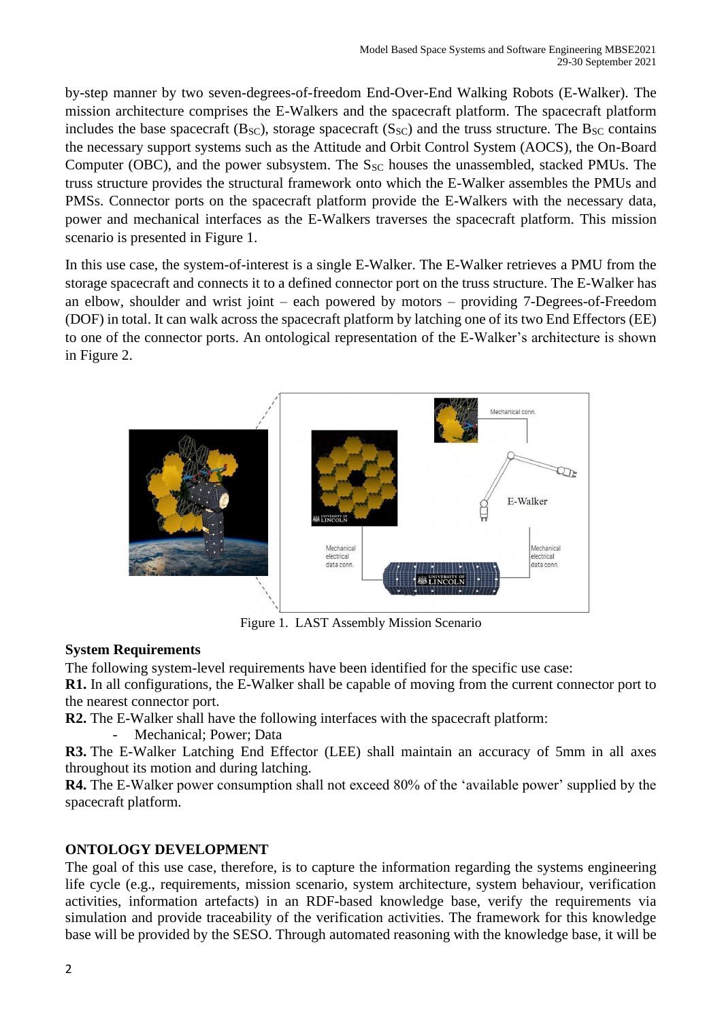by-step manner by two seven-degrees-of-freedom End-Over-End Walking Robots (E-Walker). The mission architecture comprises the E-Walkers and the spacecraft platform. The spacecraft platform includes the base spacecraft (B<sub>SC</sub>), storage spacecraft (S<sub>SC</sub>) and the truss structure. The B<sub>SC</sub> contains the necessary support systems such as the Attitude and Orbit Control System (AOCS), the On-Board Computer (OBC), and the power subsystem. The  $S_{SC}$  houses the unassembled, stacked PMUs. The truss structure provides the structural framework onto which the E-Walker assembles the PMUs and PMSs. Connector ports on the spacecraft platform provide the E-Walkers with the necessary data, power and mechanical interfaces as the E-Walkers traverses the spacecraft platform. This mission scenario is presented in Figure 1.

In this use case, the system-of-interest is a single E-Walker. The E-Walker retrieves a PMU from the storage spacecraft and connects it to a defined connector port on the truss structure. The E-Walker has an elbow, shoulder and wrist joint – each powered by motors – providing 7-Degrees-of-Freedom (DOF) in total. It can walk across the spacecraft platform by latching one of its two End Effectors (EE) to one of the connector ports. An ontological representation of the E-Walker's architecture is shown in Figure 2.



Figure 1. LAST Assembly Mission Scenario

## **System Requirements**

The following system-level requirements have been identified for the specific use case:

**R1.** In all configurations, the E-Walker shall be capable of moving from the current connector port to the nearest connector port.

**R2.** The E-Walker shall have the following interfaces with the spacecraft platform:

Mechanical: Power: Data

**R3.** The E-Walker Latching End Effector (LEE) shall maintain an accuracy of 5mm in all axes throughout its motion and during latching.

**R4.** The E-Walker power consumption shall not exceed 80% of the 'available power' supplied by the spacecraft platform.

# **ONTOLOGY DEVELOPMENT**

The goal of this use case, therefore, is to capture the information regarding the systems engineering life cycle (e.g., requirements, mission scenario, system architecture, system behaviour, verification activities, information artefacts) in an RDF-based knowledge base, verify the requirements via simulation and provide traceability of the verification activities. The framework for this knowledge base will be provided by the SESO. Through automated reasoning with the knowledge base, it will be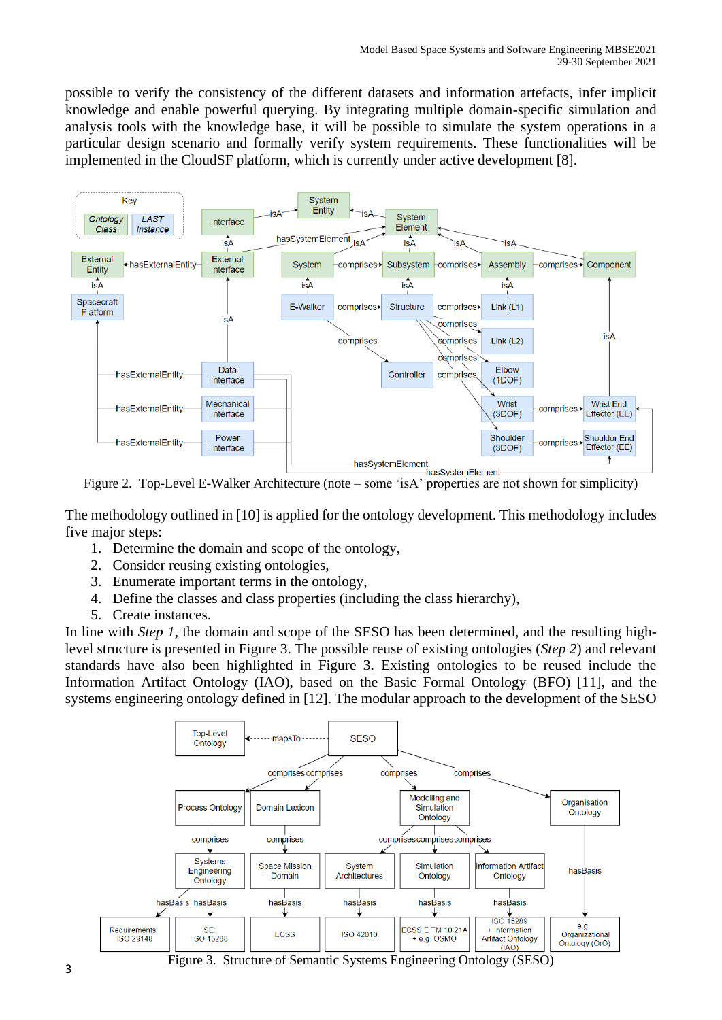possible to verify the consistency of the different datasets and information artefacts, infer implicit knowledge and enable powerful querying. By integrating multiple domain-specific simulation and analysis tools with the knowledge base, it will be possible to simulate the system operations in a particular design scenario and formally verify system requirements. These functionalities will be implemented in the CloudSF platform, which is currently under active development [8].



Figure 2. Top-Level E-Walker Architecture (note – some 'isA' properties are not shown for simplicity)

The methodology outlined in [10] is applied for the ontology development. This methodology includes five major steps:

- 1. Determine the domain and scope of the ontology,
- 2. Consider reusing existing ontologies,
- 3. Enumerate important terms in the ontology,
- 4. Define the classes and class properties (including the class hierarchy),
- 5. Create instances.

In line with *Step 1*, the domain and scope of the SESO has been determined, and the resulting highlevel structure is presented in Figure 3. The possible reuse of existing ontologies (*Step 2*) and relevant standards have also been highlighted in Figure 3. Existing ontologies to be reused include the Information Artifact Ontology (IAO), based on the Basic Formal Ontology (BFO) [11], and the systems engineering ontology defined in [12]. The modular approach to the development of the SESO